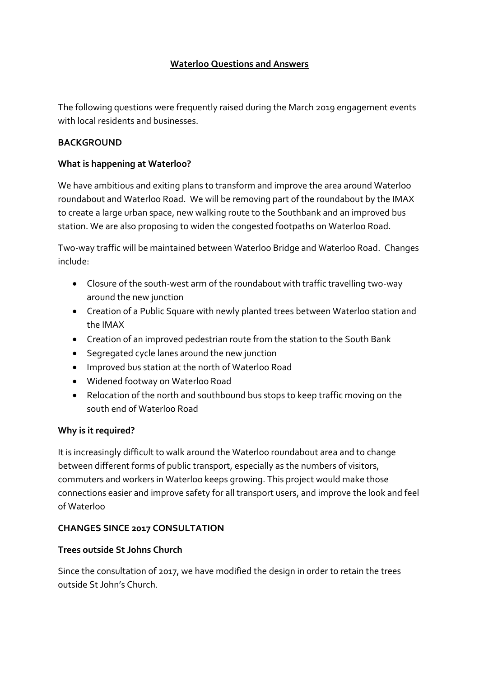## **Waterloo Questions and Answers**

The following questions were frequently raised during the March 2019 engagement events with local residents and businesses.

### **BACKGROUND**

### **What is happening at Waterloo?**

We have ambitious and exiting plans to transform and improve the area around Waterloo roundabout and Waterloo Road. We will be removing part of the roundabout by the IMAX to create a large urban space, new walking route to the Southbank and an improved bus station. We are also proposing to widen the congested footpaths on Waterloo Road.

Two-way traffic will be maintained between Waterloo Bridge and Waterloo Road. Changes include:

- Closure of the south-west arm of the roundabout with traffic travelling two-way around the new junction
- Creation of a Public Square with newly planted trees between Waterloo station and the IMAX
- Creation of an improved pedestrian route from the station to the South Bank
- Segregated cycle lanes around the new junction
- Improved bus station at the north of Waterloo Road
- Widened footway on Waterloo Road
- Relocation of the north and southbound bus stops to keep traffic moving on the south end of Waterloo Road

#### **Why is it required?**

It is increasingly difficult to walk around the Waterloo roundabout area and to change between different forms of public transport, especially as the numbers of visitors, commuters and workers in Waterloo keeps growing. This project would make those connections easier and improve safety for all transport users, and improve the look and feel of Waterloo

### **CHANGES SINCE 2017 CONSULTATION**

### **Trees outside St Johns Church**

Since the consultation of 2017, we have modified the design in order to retain the trees outside St John's Church.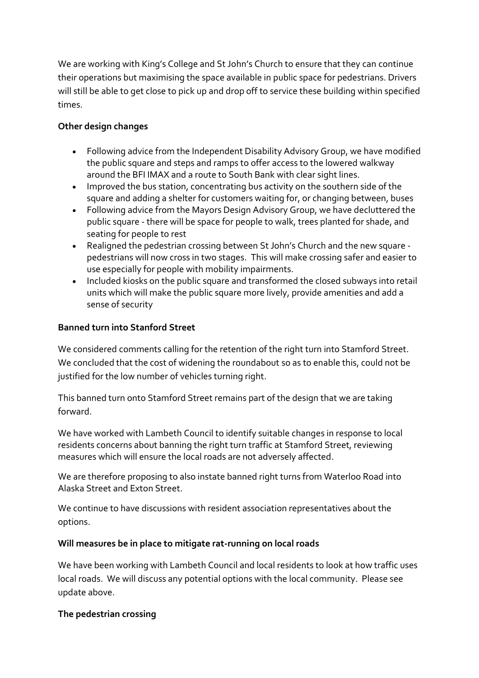We are working with King's College and St John's Church to ensure that they can continue their operations but maximising the space available in public space for pedestrians. Drivers will still be able to get close to pick up and drop off to service these building within specified times.

## **Other design changes**

- Following advice from the Independent Disability Advisory Group, we have modified the public square and steps and ramps to offer access to the lowered walkway around the BFI IMAX and a route to South Bank with clear sight lines.
- Improved the bus station, concentrating bus activity on the southern side of the square and adding a shelter for customers waiting for, or changing between, buses
- Following advice from the Mayors Design Advisory Group, we have decluttered the public square - there will be space for people to walk, trees planted for shade, and seating for people to rest
- Realigned the pedestrian crossing between St John's Church and the new square pedestrians will now cross in two stages. This will make crossing safer and easier to use especially for people with mobility impairments.
- Included kiosks on the public square and transformed the closed subways into retail units which will make the public square more lively, provide amenities and add a sense of security

# **Banned turn into Stanford Street**

We considered comments calling for the retention of the right turn into Stamford Street. We concluded that the cost of widening the roundabout so as to enable this, could not be justified for the low number of vehicles turning right.

This banned turn onto Stamford Street remains part of the design that we are taking forward.

We have worked with Lambeth Council to identify suitable changes in response to local residents concerns about banning the right turn traffic at Stamford Street, reviewing measures which will ensure the local roads are not adversely affected.

We are therefore proposing to also instate banned right turns from Waterloo Road into Alaska Street and Exton Street.

We continue to have discussions with resident association representatives about the options.

### **Will measures be in place to mitigate rat-running on local roads**

We have been working with Lambeth Council and local residents to look at how traffic uses local roads. We will discuss any potential options with the local community. Please see update above.

### **The pedestrian crossing**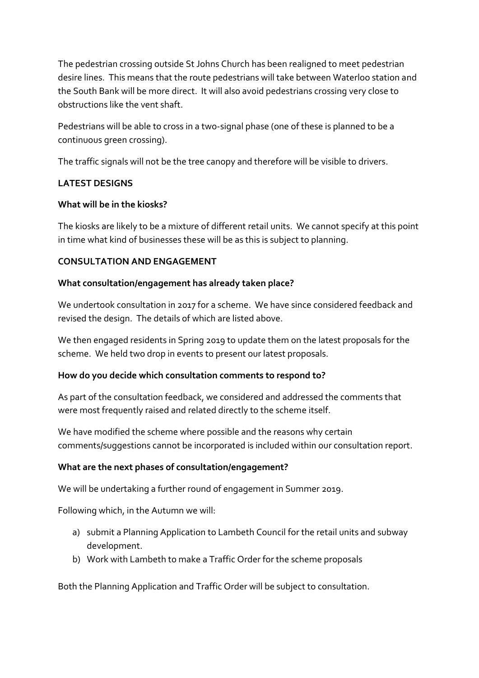The pedestrian crossing outside St Johns Church has been realigned to meet pedestrian desire lines. This means that the route pedestrians will take between Waterloo station and the South Bank will be more direct. It will also avoid pedestrians crossing very close to obstructions like the vent shaft.

Pedestrians will be able to cross in a two-signal phase (one of these is planned to be a continuous green crossing).

The traffic signals will not be the tree canopy and therefore will be visible to drivers.

### **LATEST DESIGNS**

### **What will be in the kiosks?**

The kiosks are likely to be a mixture of different retail units. We cannot specify at this point in time what kind of businesses these will be as this is subject to planning.

### **CONSULTATION AND ENGAGEMENT**

### **What consultation/engagement has already taken place?**

We undertook consultation in 2017 for a scheme. We have since considered feedback and revised the design. The details of which are listed above.

We then engaged residents in Spring 2019 to update them on the latest proposals for the scheme. We held two drop in events to present our latest proposals.

#### **How do you decide which consultation comments to respond to?**

As part of the consultation feedback, we considered and addressed the comments that were most frequently raised and related directly to the scheme itself.

We have modified the scheme where possible and the reasons why certain comments/suggestions cannot be incorporated is included within our consultation report.

### **What are the next phases of consultation/engagement?**

We will be undertaking a further round of engagement in Summer 2019.

Following which, in the Autumn we will:

- a) submit a Planning Application to Lambeth Council for the retail units and subway development.
- b) Work with Lambeth to make a Traffic Order for the scheme proposals

Both the Planning Application and Traffic Order will be subject to consultation.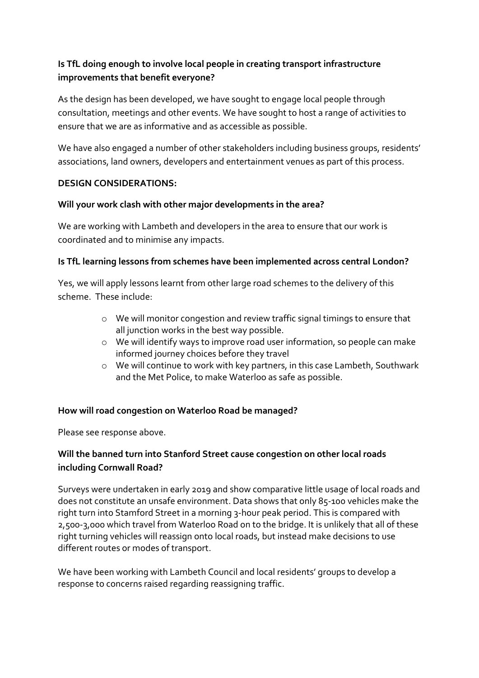# **Is TfL doing enough to involve local people in creating transport infrastructure improvements that benefit everyone?**

As the design has been developed, we have sought to engage local people through consultation, meetings and other events. We have sought to host a range of activities to ensure that we are as informative and as accessible as possible.

We have also engaged a number of other stakeholders including business groups, residents' associations, land owners, developers and entertainment venues as part of this process.

### **DESIGN CONSIDERATIONS:**

### **Will your work clash with other major developments in the area?**

We are working with Lambeth and developers in the area to ensure that our work is coordinated and to minimise any impacts.

### **Is TfL learning lessons from schemes have been implemented across central London?**

Yes, we will apply lessons learnt from other large road schemes to the delivery of this scheme. These include:

- o We will monitor congestion and review traffic signal timings to ensure that all junction works in the best way possible.
- o We will identify ways to improve road user information, so people can make informed journey choices before they travel
- o We will continue to work with key partners, in this case Lambeth, Southwark and the Met Police, to make Waterloo as safe as possible.

### **How will road congestion on Waterloo Road be managed?**

Please see response above.

# **Will the banned turn into Stanford Street cause congestion on other local roads including Cornwall Road?**

Surveys were undertaken in early 2019 and show comparative little usage of local roads and does not constitute an unsafe environment. Data shows that only 85-100 vehicles make the right turn into Stamford Street in a morning 3-hour peak period. This is compared with 2,500-3,000 which travel from Waterloo Road on to the bridge. It is unlikely that all of these right turning vehicles will reassign onto local roads, but instead make decisions to use different routes or modes of transport.

We have been working with Lambeth Council and local residents' groups to develop a response to concerns raised regarding reassigning traffic.